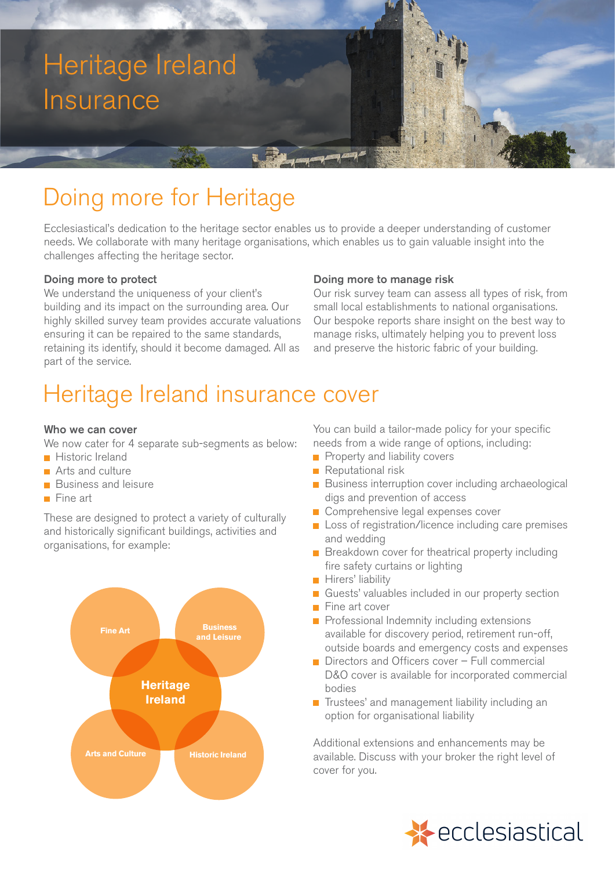# Heritage Ireland Insurance

## Doing more for Heritage

Ecclesiastical's dedication to the heritage sector enables us to provide a deeper understanding of customer needs. We collaborate with many heritage organisations, which enables us to gain valuable insight into the challenges affecting the heritage sector.

## Doing more to protect

We understand the uniqueness of your client's building and its impact on the surrounding area. Our highly skilled survey team provides accurate valuations ensuring it can be repaired to the same standards, retaining its identify, should it become damaged. All as part of the service.

### Doing more to manage risk

Our risk survey team can assess all types of risk, from small local establishments to national organisations. Our bespoke reports share insight on the best way to manage risks, ultimately helping you to prevent loss and preserve the historic fabric of your building.

## Heritage Ireland insurance cover

### Who we can cover

We now cater for 4 separate sub-segments as below:

- **Historic Ireland**
- **Arts and culture**
- **Business and leisure**
- $\blacksquare$  Fine art

These are designed to protect a variety of culturally and historically significant buildings, activities and organisations, for example:



You can build a tailor-made policy for your specific needs from a wide range of options, including:

- **Property and liability covers**
- **Reputational risk**
- **Business interruption cover including archaeological** digs and prevention of access
- Comprehensive legal expenses cover
- Loss of registration/licence including care premises and wedding
- **Breakdown cover for theatrical property including** fire safety curtains or lighting
- **Hirers' liability**
- Guests' valuables included in our property section
- **Fine art cover**
- Professional Indemnity including extensions available for discovery period, retirement run-off, outside boards and emergency costs and expenses
- Directors and Officers cover Full commercial D&O cover is available for incorporated commercial bodies
- $\blacksquare$  Trustees' and management liability including an option for organisational liability

Additional extensions and enhancements may be available. Discuss with your broker the right level of cover for you.